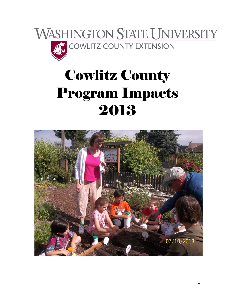

# Cowlitz County Program Impacts 2013

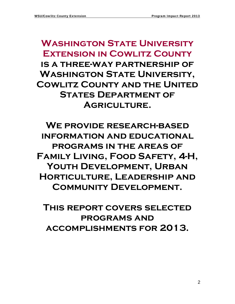# **Washington State University Extension in Cowlitz County is a three-way partnership of Washington State University, Cowlitz County and the United STATES DEPARTMENT OF Agriculture.**

**We provide research-based information and educational programs in the areas of Family Living, Food Safety, 4-H,**  YOUTH DEVELOPMENT, URBAN **Horticulture, Leadership and Community Development.** 

**This report covers selected programs and accomplishments for 2013.**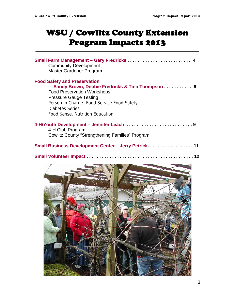## WSU / Cowlitz County Extension Program Impacts 2013

| Small Farm Management - Gary Fredricks<br><b>Community Development</b><br>Master Gardener Program                                                                                                                                                                           |
|-----------------------------------------------------------------------------------------------------------------------------------------------------------------------------------------------------------------------------------------------------------------------------|
| <b>Food Safety and Preservation</b><br>- Sandy Brown, Debbie Fredricks & Tina Thompson 6<br><b>Food Preservation Workshops</b><br><b>Pressure Gauge Testing</b><br>Person in Charge- Food Service Food Safety<br><b>Diabetes Series</b><br>Food \$ense, Nutrition Education |
| 4-H/Youth Development - Jennifer Leach 9<br>4-H Club Program<br><b>Cowlitz County "Strengthening Families" Program</b>                                                                                                                                                      |
| Small Business Development Center - Jerry Petrick. 11                                                                                                                                                                                                                       |
|                                                                                                                                                                                                                                                                             |
|                                                                                                                                                                                                                                                                             |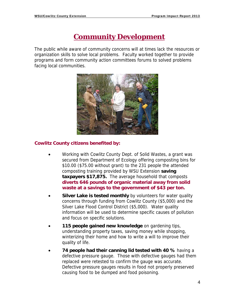### **Community Development**

The public while aware of community concerns will at times lack the resources or organization skills to solve local problems. Faculty worked together to provide programs and form community action committees forums to solved problems facing local communities.



### **Cowlitz County citizens benefited by:**

- Working with Cowlitz County Dept. of Solid Wastes, a grant was secured from Department of Ecology offering composting bins for \$10.00 (\$75.00 without grant) to the 231 people the attended composting training provided by WSU Extension **saving taxpayers \$17,875.** The average household that composts **diverts 646 pounds of organic material away from solid waste at a savings to the government of \$43 per ton.**
- **Silver Lake is tested monthly** by volunteers for water quality concerns through funding from Cowlitz County (\$5,000) and the Silver Lake Flood Control District (\$5,000). Water quality information will be used to determine specific causes of pollution and focus on specific solutions.
- **115 people gained new knowledge** on gardening tips, understanding property taxes, saving money while shopping, winterizing their home and how to write a will to improve their quality of life.
- **74 people had their canning lid tested with 40 %** having a defective pressure gauge. Those with defective gauges had them replaced were retested to confirm the gauge was accurate. Defective pressure gauges results in food not properly preserved causing food to be dumped and food poisoning.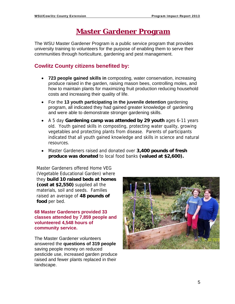### **Master Gardener Program**

The WSU Master Gardener Program is a public service program that provides university training to volunteers for the purpose of enabling them to serve their communities through horticulture, gardening and pest management.

### **Cowlitz County citizens benefited by:**

- **723 people gained skills in** composting, water conservation, increasing produce raised in the garden, raising mason bees, controlling moles, and how to maintain plants for maximizing fruit production reducing household costs and increasing their quality of life.
- For the **13 youth participating in the juvenile detention** gardening program, all indicated they had gained greater knowledge of gardening and were able to demonstrate stronger gardening skills.
- A 5 day **Gardening camp was attended by 29 youth** ages 6-11 years old. Youth gained skills in composting, protecting water quality, growing vegetables and protecting plants from disease. Parents of participants indicated that all youth gained knowledge and skills in science and natural resources.
- Master Gardeners raised and donated over **3,400 pounds of fresh produce was donated** to local food banks **(valued at \$2,600).**

Master Gardeners offered Home VEG (Vegetable Educational Garden) where they **build 10 raised beds at homes (cost at \$2,550)** supplied all the materials, soil and seeds. Families raised an average of **48 pounds of food** per bed.

**68 Master Gardeners provided 33 classes attended by 7,859 people and volunteered 4,548 hours of community service.** 

The Master Gardener volunteers answered the **questions of 319 people** saving people money on reduced pesticide use, increased garden produce raised and fewer plants replaced in their landscape.

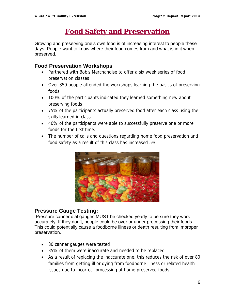### **Food Safety and Preservation**

Growing and preserving one's own food is of increasing interest to people these days. People want to know where their food comes from and what is in it when preserved.

### **Food Preservation Workshops**

- Partnered with Bob's Merchandise to offer a six week series of food preservation classes
- Over 350 people attended the workshops learning the basics of preserving foods.
- 100% of the participants indicated they learned something new about preserving foods
- 75% of the participants actually preserved food after each class using the skills learned in class
- 40% of the participants were able to successfully preserve one or more foods for the first time.
- The number of calls and questions regarding home food preservation and food safety as a result of this class has increased 5%.



### **Pressure Gauge Testing:**

 Pressure canner dial gauges MUST be checked yearly to be sure they work accurately. If they don't, people could be over or under processing their foods. This could potentially cause a foodborne illness or death resulting from improper preservation.

- 80 canner gauges were tested
- 35% of them were inaccurate and needed to be replaced
- As a result of replacing the inaccurate one, this reduces the risk of over 80 families from getting ill or dying from foodborne illness or related health issues due to incorrect processing of home preserved foods.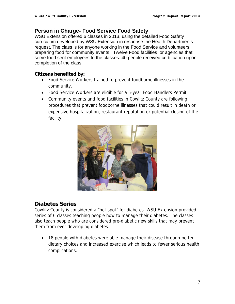### **Person in Charge- Food Service Food Safety**

WSU Extension offered 6 classes in 2013, using the detailed Food Safety curriculum developed by WSU Extension in response the Health Departments request. The class is for anyone working in the Food Service and volunteers preparing food for community events. Twelve Food facilities or agencies that serve food sent employees to the classes. 40 people received certification upon completion of the class.

### **Citizens benefited by:**

- Food Service Workers trained to prevent foodborne illnesses in the community.
- Food Service Workers are eligible for a 5-year Food Handlers Permit.
- Community events and food facilities in Cowlitz County are following procedures that prevent foodborne illnesses that could result in death or expensive hospitalization, restaurant reputation or potential closing of the facility.



### **Diabetes Series**

Cowlitz County is considered a "hot spot" for diabetes. WSU Extension provided series of 6 classes teaching people how to manage their diabetes. The classes also teach people who are considered pre-diabetic new skills that may prevent them from ever developing diabetes.

• 18 people with diabetes were able manage their disease through better dietary choices and increased exercise which leads to fewer serious health complications.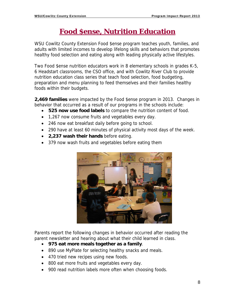### **Food \$ense, Nutrition Education**

WSU Cowlitz County Extension Food \$ense program teaches youth, families, and adults with limited incomes to develop lifelong skills and behaviors that promotes healthy food selection and eating along with leading physically active lifestyles.

Two Food \$ense nutrition educators work in 8 elementary schools in grades K-5, 6 Headstart classrooms, the CSO office, and with Cowlitz River Club to provide nutrition education class series that teach food selection, food budgeting, preparation and menu planning to feed themselves and their families healthy foods within their budgets.

**2,469 families** were impacted by the Food \$ense program in 2013. Changes in behavior that occurred as a result of our programs in the schools include:

- **525 now use food labels** to compare the nutrition content of food.
- 1,267 now consume fruits and vegetables every day.
- 246 now eat breakfast daily before going to school.
- 290 have at least 60 minutes of physical activity most days of the week.
- **2,237 wash their hands** before eating.
- 379 now wash fruits and vegetables before eating them



Parents report the following changes in behavior occurred after reading the parent newsletter and hearing about what their child learned in class.

- **975 eat more meals together as a family**.
- 890 use MyPlate for selecting healthy snacks and meals.
- 470 tried new recipes using new foods.
- 800 eat more fruits and vegetables every day.
- 900 read nutrition labels more often when choosing foods.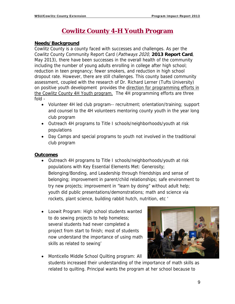### **Cowlitz County 4-H Youth Program**

#### **Needs/Background**

Cowlitz County is a county faced with successes and challenges. As per the Cowlitz County Community Report Card (Pathways 2020, **2013 Report Card**, May 2013), there have been successes in the overall health of the community including the number of young adults enrolling in college after high school; reduction in teen pregnancy; fewer smokers, and reduction in high school dropout rate. However, there are still challenges. This county based community assessment, coupled with the research of Dr. Richard Lerner (Tufts University) on positive youth development provides the direction for programming efforts in the Cowlitz County 4H Youth program. The 4H programming efforts are three fold -

- Volunteer 4H led club program-- recruitment; orientation/training; support and counsel to the 4H volunteers mentoring county youth in the year long club program
- Outreach 4H programs to Title I schools/neighborhoods/youth at risk populations
- Day Camps and special programs to youth not involved in the traditional club program

#### **Outcomes**

- Outreach 4H programs to Title I schools/neighborhoods/youth at risk populations with Key Essential Elements Met: Generosity; Belonging/Bonding, and Leadership through friendships and sense of belonging; improvement in parent/child relationships; safe environment to try new projects; improvement in "learn by doing" without adult help; youth did public presentations/demonstrations; math and science via rockets, plant science, building rabbit hutch, nutrition, etc '
- Loowit Program: High school students wanted to do sewing projects to help homeless; several students had never completed a project from start to finish; most of students now understand the importance of using math skills as related to sewing'
- Monticello Middle School Quilting program: All students increased their understanding of the importance of math skills as related to quilting. Principal wants the program at her school because to

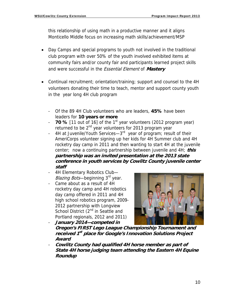this relationship of using math in a productive manner and it aligns Monticello Middle focus on increasing math skills/achievement/MSP

- Day Camps and special programs to youth not involved in the traditional club program with over 50% of the youth involved exhibited items at community fairs and/or county fair and participants learned project skills and were successful in the Essential Element of **Mastery**
- Continual recruitment; orientation/training; support and counsel to the 4H volunteers donating their time to teach, mentor and support county youth in the year long 4H club program
	- Of the 89 4H Club volunteers who are leaders, **45%** have been leaders for **10 years or more**
	- **70 %** [11 out of 16] of the 1<sup>st</sup> year volunteers (2012 program year) returned to be 2<sup>nd</sup> year volunteers for 2013 program year
	- 4H at Juvenile/Youth Services—3<sup>rd</sup> year of program; result of their AmeriCorps volunteer signing up her kids for 4H Summer club and 4H rocketry day camp in 2011 and then wanting to start 4H at the juvenile center; now a continuing partnership between juvenile and 4H; **this partnership was an invited presentation at the 2013 state conference in youth services by Cowlitz County juvenile center staff**
	- 4H Elementary Robotics Club— Blazing Bots—beginning 3<sup>rd</sup> year.
	- Came about as a result of 4H rocketry day camp and 4H robotics day camp offered in 2011 and 4H high school robotics program, 2009- 2012 partnership with Longview School District (2<sup>nd</sup> in Seattle and Portland regionals, 2012 and 2011) - **January 2014—competed in**



- **Oregon's FIRST Lego League Championship Tournament and received 1st place for Google's Innovation Solutions Project Award**
- **Cowlitz County had qualified 4H horse member as part of State 4H horse judging team attending the Eastern 4H Equine Roundup**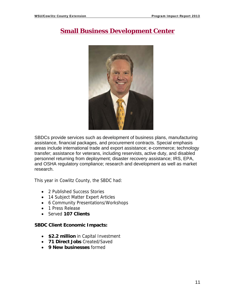### **Small Business Development Center**



SBDCs provide services such as development of business plans, manufacturing assistance, financial packages, and procurement contracts. Special emphasis areas include international trade and export assistance; e-commerce; technology transfer; assistance for veterans, including reservists, active duty, and disabled personnel returning from deployment; disaster recovery assistance; IRS, EPA, and OSHA regulatory compliance; research and development as well as market research.

This year in Cowlitz County, the SBDC had:

- 2 Published Success Stories
- 14 Subject Matter Expert Articles
- 6 Community Presentations/Workshops
- 1 Press Release
- Served **107 Clients**

#### **SBDC Client Economic Impacts:**

- **\$2.2 million** in Capital Investment
- **71 Direct Jobs** Created/Saved
- **9 New businesses** formed